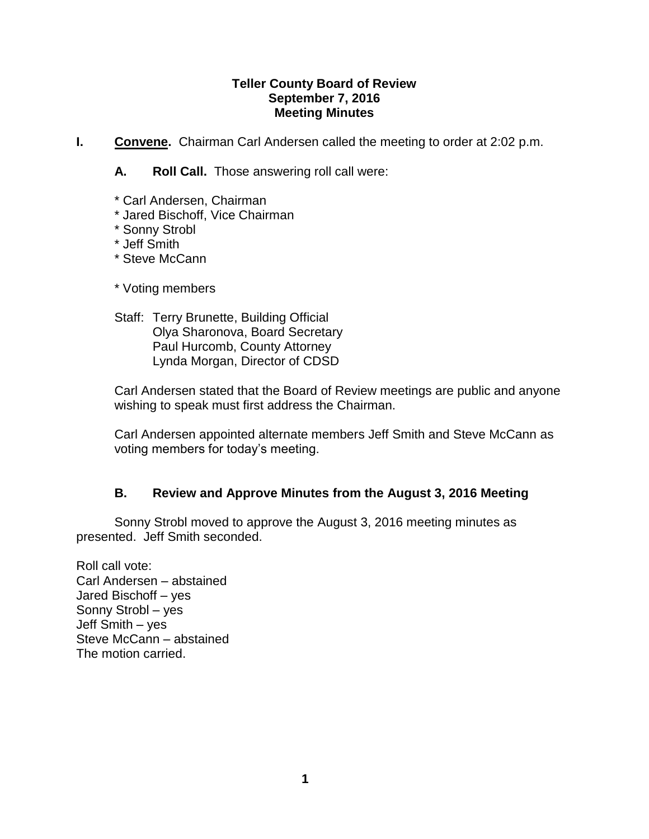#### **Teller County Board of Review September 7, 2016 Meeting Minutes**

**I. Convene.** Chairman Carl Andersen called the meeting to order at 2:02 p.m.

**A. Roll Call.** Those answering roll call were:

- \* Carl Andersen, Chairman
- \* Jared Bischoff, Vice Chairman
- \* Sonny Strobl
- \* Jeff Smith
- \* Steve McCann
- \* Voting members
- Staff: Terry Brunette, Building Official Olya Sharonova, Board Secretary Paul Hurcomb, County Attorney Lynda Morgan, Director of CDSD

Carl Andersen stated that the Board of Review meetings are public and anyone wishing to speak must first address the Chairman.

Carl Andersen appointed alternate members Jeff Smith and Steve McCann as voting members for today's meeting.

### **B. Review and Approve Minutes from the August 3, 2016 Meeting**

Sonny Strobl moved to approve the August 3, 2016 meeting minutes as presented. Jeff Smith seconded.

Roll call vote: Carl Andersen – abstained Jared Bischoff – yes Sonny Strobl – yes Jeff Smith – yes Steve McCann – abstained The motion carried.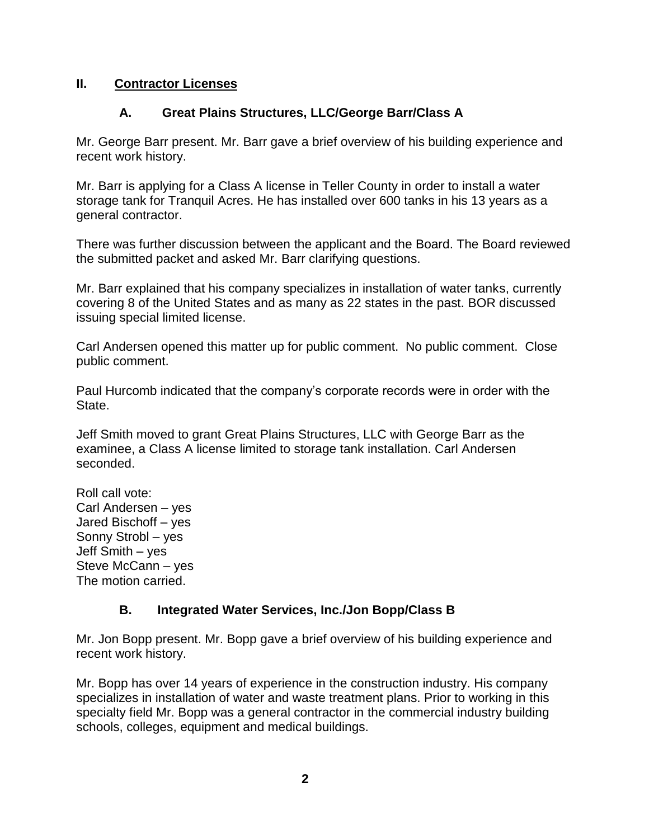### **II. Contractor Licenses**

### **A. Great Plains Structures, LLC/George Barr/Class A**

Mr. George Barr present. Mr. Barr gave a brief overview of his building experience and recent work history.

Mr. Barr is applying for a Class A license in Teller County in order to install a water storage tank for Tranquil Acres. He has installed over 600 tanks in his 13 years as a general contractor.

There was further discussion between the applicant and the Board. The Board reviewed the submitted packet and asked Mr. Barr clarifying questions.

Mr. Barr explained that his company specializes in installation of water tanks, currently covering 8 of the United States and as many as 22 states in the past. BOR discussed issuing special limited license.

Carl Andersen opened this matter up for public comment. No public comment. Close public comment.

Paul Hurcomb indicated that the company's corporate records were in order with the State.

Jeff Smith moved to grant Great Plains Structures, LLC with George Barr as the examinee, a Class A license limited to storage tank installation. Carl Andersen seconded.

Roll call vote: Carl Andersen – yes Jared Bischoff – yes Sonny Strobl – yes Jeff Smith – yes Steve McCann – yes The motion carried.

### **B. Integrated Water Services, Inc./Jon Bopp/Class B**

Mr. Jon Bopp present. Mr. Bopp gave a brief overview of his building experience and recent work history.

Mr. Bopp has over 14 years of experience in the construction industry. His company specializes in installation of water and waste treatment plans. Prior to working in this specialty field Mr. Bopp was a general contractor in the commercial industry building schools, colleges, equipment and medical buildings.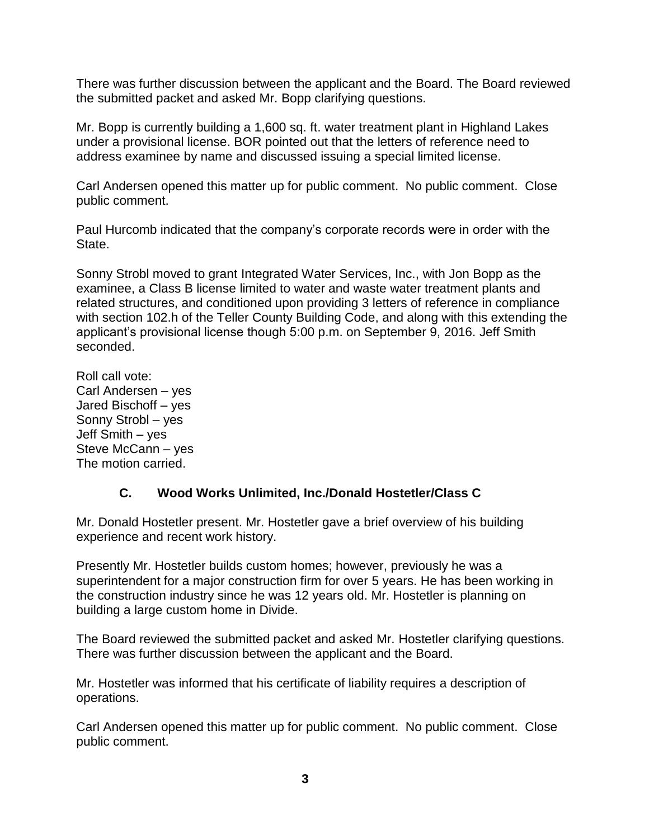There was further discussion between the applicant and the Board. The Board reviewed the submitted packet and asked Mr. Bopp clarifying questions.

Mr. Bopp is currently building a 1,600 sq. ft. water treatment plant in Highland Lakes under a provisional license. BOR pointed out that the letters of reference need to address examinee by name and discussed issuing a special limited license.

Carl Andersen opened this matter up for public comment. No public comment. Close public comment.

Paul Hurcomb indicated that the company's corporate records were in order with the State.

Sonny Strobl moved to grant Integrated Water Services, Inc., with Jon Bopp as the examinee, a Class B license limited to water and waste water treatment plants and related structures, and conditioned upon providing 3 letters of reference in compliance with section 102.h of the Teller County Building Code, and along with this extending the applicant's provisional license though 5:00 p.m. on September 9, 2016. Jeff Smith seconded.

Roll call vote: Carl Andersen – yes Jared Bischoff – yes Sonny Strobl – yes Jeff Smith – yes Steve McCann – yes The motion carried.

# **C. Wood Works Unlimited, Inc./Donald Hostetler/Class C**

Mr. Donald Hostetler present. Mr. Hostetler gave a brief overview of his building experience and recent work history.

Presently Mr. Hostetler builds custom homes; however, previously he was a superintendent for a major construction firm for over 5 years. He has been working in the construction industry since he was 12 years old. Mr. Hostetler is planning on building a large custom home in Divide.

The Board reviewed the submitted packet and asked Mr. Hostetler clarifying questions. There was further discussion between the applicant and the Board.

Mr. Hostetler was informed that his certificate of liability requires a description of operations.

Carl Andersen opened this matter up for public comment. No public comment. Close public comment.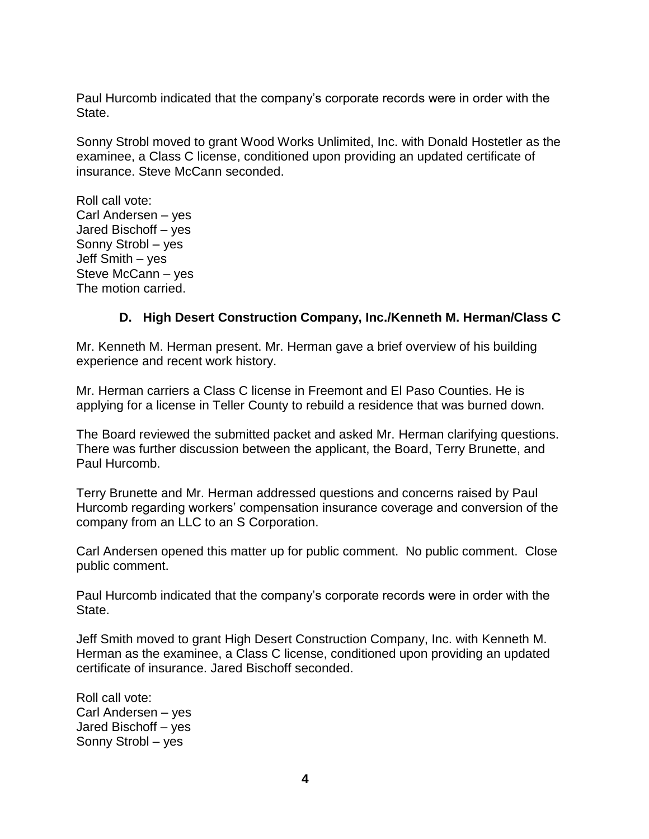Paul Hurcomb indicated that the company's corporate records were in order with the State.

Sonny Strobl moved to grant Wood Works Unlimited, Inc. with Donald Hostetler as the examinee, a Class C license, conditioned upon providing an updated certificate of insurance. Steve McCann seconded.

Roll call vote: Carl Andersen – yes Jared Bischoff – yes Sonny Strobl – yes Jeff Smith – yes Steve McCann – yes The motion carried.

### **D. High Desert Construction Company, Inc./Kenneth M. Herman/Class C**

Mr. Kenneth M. Herman present. Mr. Herman gave a brief overview of his building experience and recent work history.

Mr. Herman carriers a Class C license in Freemont and El Paso Counties. He is applying for a license in Teller County to rebuild a residence that was burned down.

The Board reviewed the submitted packet and asked Mr. Herman clarifying questions. There was further discussion between the applicant, the Board, Terry Brunette, and Paul Hurcomb.

Terry Brunette and Mr. Herman addressed questions and concerns raised by Paul Hurcomb regarding workers' compensation insurance coverage and conversion of the company from an LLC to an S Corporation.

Carl Andersen opened this matter up for public comment. No public comment. Close public comment.

Paul Hurcomb indicated that the company's corporate records were in order with the State.

Jeff Smith moved to grant High Desert Construction Company, Inc. with Kenneth M. Herman as the examinee, a Class C license, conditioned upon providing an updated certificate of insurance. Jared Bischoff seconded.

Roll call vote: Carl Andersen – yes Jared Bischoff – yes Sonny Strobl – yes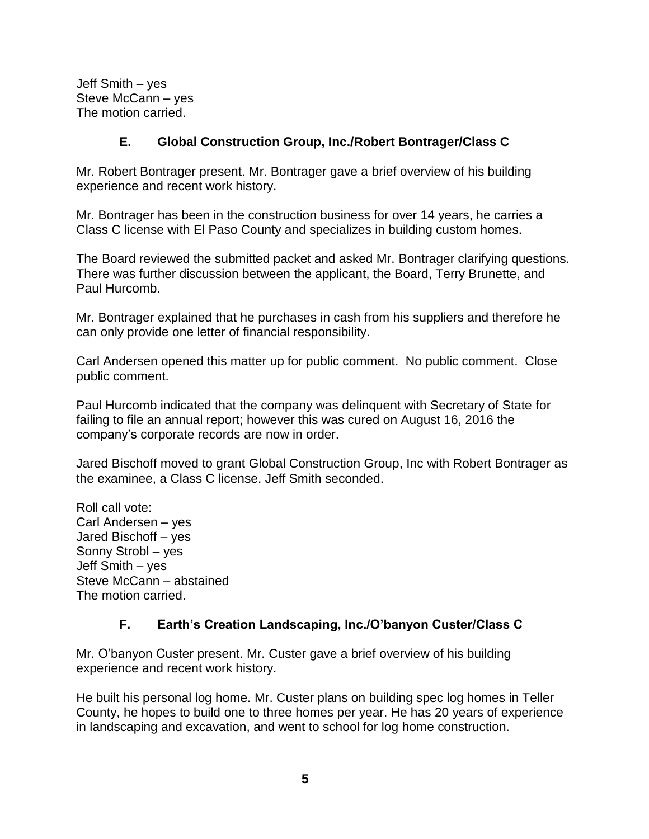Jeff Smith – yes Steve McCann – yes The motion carried.

## **E. Global Construction Group, Inc./Robert Bontrager/Class C**

Mr. Robert Bontrager present. Mr. Bontrager gave a brief overview of his building experience and recent work history.

Mr. Bontrager has been in the construction business for over 14 years, he carries a Class C license with El Paso County and specializes in building custom homes.

The Board reviewed the submitted packet and asked Mr. Bontrager clarifying questions. There was further discussion between the applicant, the Board, Terry Brunette, and Paul Hurcomb.

Mr. Bontrager explained that he purchases in cash from his suppliers and therefore he can only provide one letter of financial responsibility.

Carl Andersen opened this matter up for public comment. No public comment. Close public comment.

Paul Hurcomb indicated that the company was delinquent with Secretary of State for failing to file an annual report; however this was cured on August 16, 2016 the company's corporate records are now in order.

Jared Bischoff moved to grant Global Construction Group, Inc with Robert Bontrager as the examinee, a Class C license. Jeff Smith seconded.

Roll call vote: Carl Andersen – yes Jared Bischoff – yes Sonny Strobl – yes Jeff Smith – yes Steve McCann – abstained The motion carried.

# **F. Earth's Creation Landscaping, Inc./O'banyon Custer/Class C**

Mr. O'banyon Custer present. Mr. Custer gave a brief overview of his building experience and recent work history.

He built his personal log home. Mr. Custer plans on building spec log homes in Teller County, he hopes to build one to three homes per year. He has 20 years of experience in landscaping and excavation, and went to school for log home construction.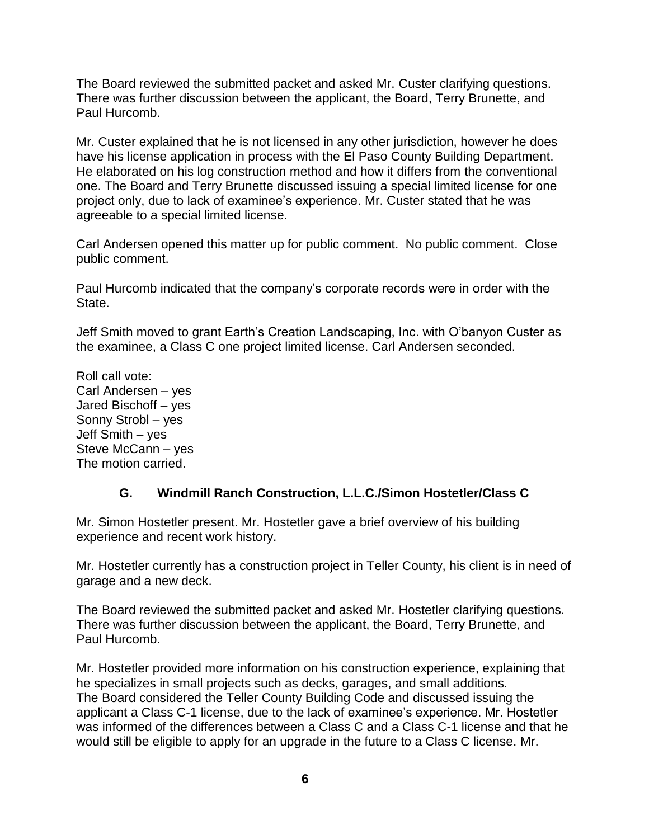The Board reviewed the submitted packet and asked Mr. Custer clarifying questions. There was further discussion between the applicant, the Board, Terry Brunette, and Paul Hurcomb.

Mr. Custer explained that he is not licensed in any other jurisdiction, however he does have his license application in process with the El Paso County Building Department. He elaborated on his log construction method and how it differs from the conventional one. The Board and Terry Brunette discussed issuing a special limited license for one project only, due to lack of examinee's experience. Mr. Custer stated that he was agreeable to a special limited license.

Carl Andersen opened this matter up for public comment. No public comment. Close public comment.

Paul Hurcomb indicated that the company's corporate records were in order with the State.

Jeff Smith moved to grant Earth's Creation Landscaping, Inc. with O'banyon Custer as the examinee, a Class C one project limited license. Carl Andersen seconded.

Roll call vote: Carl Andersen – yes Jared Bischoff – yes Sonny Strobl – yes Jeff Smith – yes Steve McCann – yes The motion carried.

# **G. Windmill Ranch Construction, L.L.C./Simon Hostetler/Class C**

Mr. Simon Hostetler present. Mr. Hostetler gave a brief overview of his building experience and recent work history.

Mr. Hostetler currently has a construction project in Teller County, his client is in need of garage and a new deck.

The Board reviewed the submitted packet and asked Mr. Hostetler clarifying questions. There was further discussion between the applicant, the Board, Terry Brunette, and Paul Hurcomb.

Mr. Hostetler provided more information on his construction experience, explaining that he specializes in small projects such as decks, garages, and small additions. The Board considered the Teller County Building Code and discussed issuing the applicant a Class C-1 license, due to the lack of examinee's experience. Mr. Hostetler was informed of the differences between a Class C and a Class C-1 license and that he would still be eligible to apply for an upgrade in the future to a Class C license. Mr.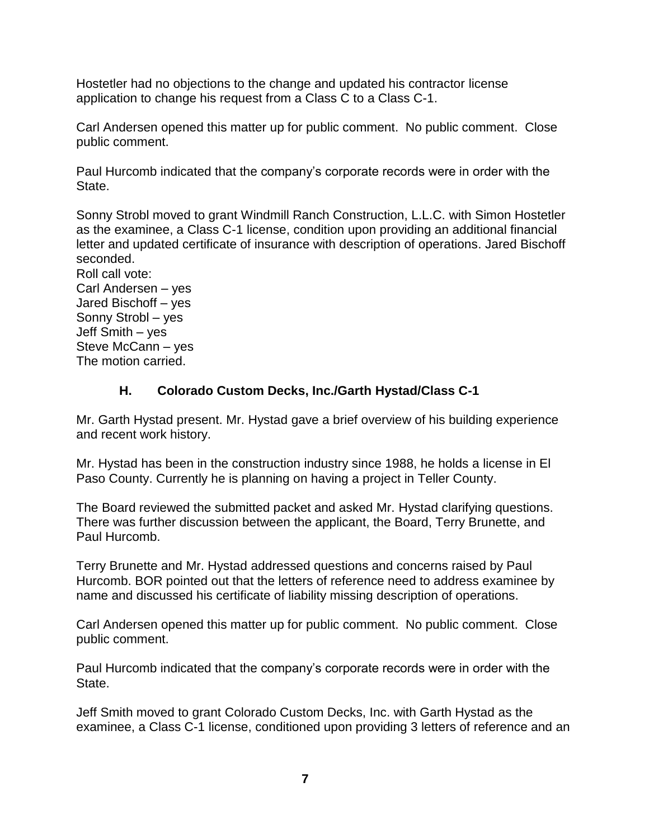Hostetler had no objections to the change and updated his contractor license application to change his request from a Class C to a Class C-1.

Carl Andersen opened this matter up for public comment. No public comment. Close public comment.

Paul Hurcomb indicated that the company's corporate records were in order with the State.

Sonny Strobl moved to grant Windmill Ranch Construction, L.L.C. with Simon Hostetler as the examinee, a Class C-1 license, condition upon providing an additional financial letter and updated certificate of insurance with description of operations. Jared Bischoff seconded.

Roll call vote: Carl Andersen – yes Jared Bischoff – yes Sonny Strobl – yes Jeff Smith – yes Steve McCann – yes The motion carried.

# **H. Colorado Custom Decks, Inc./Garth Hystad/Class C-1**

Mr. Garth Hystad present. Mr. Hystad gave a brief overview of his building experience and recent work history.

Mr. Hystad has been in the construction industry since 1988, he holds a license in El Paso County. Currently he is planning on having a project in Teller County.

The Board reviewed the submitted packet and asked Mr. Hystad clarifying questions. There was further discussion between the applicant, the Board, Terry Brunette, and Paul Hurcomb.

Terry Brunette and Mr. Hystad addressed questions and concerns raised by Paul Hurcomb. BOR pointed out that the letters of reference need to address examinee by name and discussed his certificate of liability missing description of operations.

Carl Andersen opened this matter up for public comment. No public comment. Close public comment.

Paul Hurcomb indicated that the company's corporate records were in order with the State.

Jeff Smith moved to grant Colorado Custom Decks, Inc. with Garth Hystad as the examinee, a Class C-1 license, conditioned upon providing 3 letters of reference and an